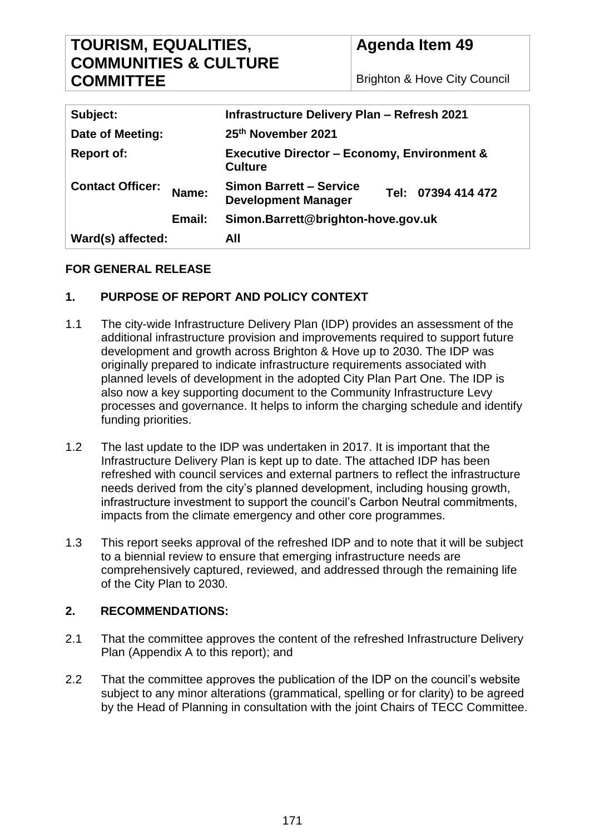# **TOURISM, EQUALITIES, COMMUNITIES & CULTURE COMMITTEE**

**Agenda Item 49**

Brighton & Hove City Council

| Ward(s) affected:                | All                                                                                |
|----------------------------------|------------------------------------------------------------------------------------|
| Email:                           | Simon.Barrett@brighton-hove.gov.uk                                                 |
| <b>Contact Officer:</b><br>Name: | <b>Simon Barrett - Service</b><br>Tel: 07394 414 472<br><b>Development Manager</b> |
| <b>Report of:</b>                | <b>Executive Director - Economy, Environment &amp;</b><br><b>Culture</b>           |
| Date of Meeting:                 | 25th November 2021                                                                 |
| Subject:                         | <b>Infrastructure Delivery Plan - Refresh 2021</b>                                 |

### **FOR GENERAL RELEASE**

### **1. PURPOSE OF REPORT AND POLICY CONTEXT**

- 1.1 The city-wide Infrastructure Delivery Plan (IDP) provides an assessment of the additional infrastructure provision and improvements required to support future development and growth across Brighton & Hove up to 2030. The IDP was originally prepared to indicate infrastructure requirements associated with planned levels of development in the adopted City Plan Part One. The IDP is also now a key supporting document to the Community Infrastructure Levy processes and governance. It helps to inform the charging schedule and identify funding priorities.
- 1.2 The last update to the IDP was undertaken in 2017. It is important that the Infrastructure Delivery Plan is kept up to date. The attached IDP has been refreshed with council services and external partners to reflect the infrastructure needs derived from the city's planned development, including housing growth, infrastructure investment to support the council's Carbon Neutral commitments, impacts from the climate emergency and other core programmes.
- 1.3 This report seeks approval of the refreshed IDP and to note that it will be subject to a biennial review to ensure that emerging infrastructure needs are comprehensively captured, reviewed, and addressed through the remaining life of the City Plan to 2030.

### **2. RECOMMENDATIONS:**

- 2.1 That the committee approves the content of the refreshed Infrastructure Delivery Plan (Appendix A to this report); and
- 2.2 That the committee approves the publication of the IDP on the council's website subject to any minor alterations (grammatical, spelling or for clarity) to be agreed by the Head of Planning in consultation with the joint Chairs of TECC Committee.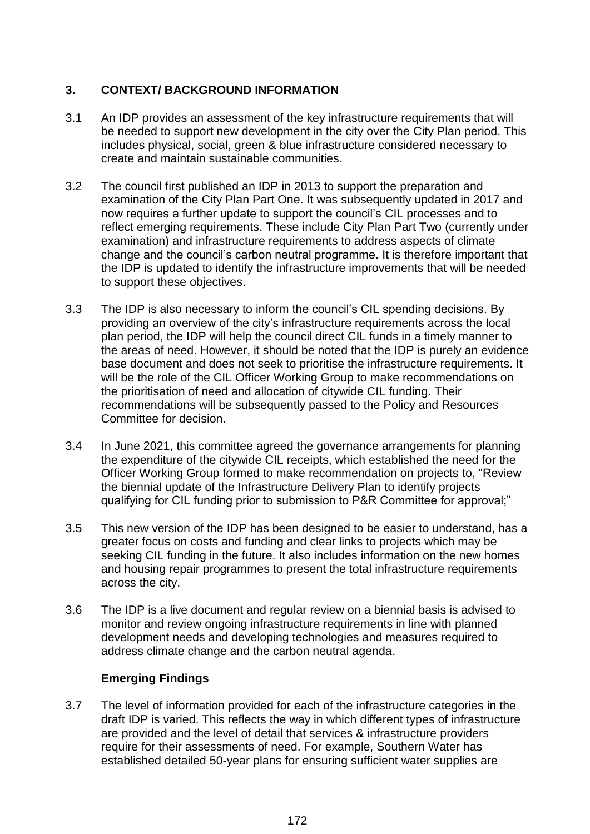### **3. CONTEXT/ BACKGROUND INFORMATION**

- 3.1 An IDP provides an assessment of the key infrastructure requirements that will be needed to support new development in the city over the City Plan period. This includes physical, social, green & blue infrastructure considered necessary to create and maintain sustainable communities.
- 3.2 The council first published an IDP in 2013 to support the preparation and examination of the City Plan Part One. It was subsequently updated in 2017 and now requires a further update to support the council's CIL processes and to reflect emerging requirements. These include City Plan Part Two (currently under examination) and infrastructure requirements to address aspects of climate change and the council's carbon neutral programme. It is therefore important that the IDP is updated to identify the infrastructure improvements that will be needed to support these objectives.
- 3.3 The IDP is also necessary to inform the council's CIL spending decisions. By providing an overview of the city's infrastructure requirements across the local plan period, the IDP will help the council direct CIL funds in a timely manner to the areas of need. However, it should be noted that the IDP is purely an evidence base document and does not seek to prioritise the infrastructure requirements. It will be the role of the CIL Officer Working Group to make recommendations on the prioritisation of need and allocation of citywide CIL funding. Their recommendations will be subsequently passed to the Policy and Resources Committee for decision.
- 3.4 In June 2021, this committee agreed the governance arrangements for planning the expenditure of the citywide CIL receipts, which established the need for the Officer Working Group formed to make recommendation on projects to, "Review the biennial update of the Infrastructure Delivery Plan to identify projects qualifying for CIL funding prior to submission to P&R Committee for approval;"
- 3.5 This new version of the IDP has been designed to be easier to understand, has a greater focus on costs and funding and clear links to projects which may be seeking CIL funding in the future. It also includes information on the new homes and housing repair programmes to present the total infrastructure requirements across the city.
- 3.6 The IDP is a live document and regular review on a biennial basis is advised to monitor and review ongoing infrastructure requirements in line with planned development needs and developing technologies and measures required to address climate change and the carbon neutral agenda.

### **Emerging Findings**

3.7 The level of information provided for each of the infrastructure categories in the draft IDP is varied. This reflects the way in which different types of infrastructure are provided and the level of detail that services & infrastructure providers require for their assessments of need. For example, Southern Water has established detailed 50-year plans for ensuring sufficient water supplies are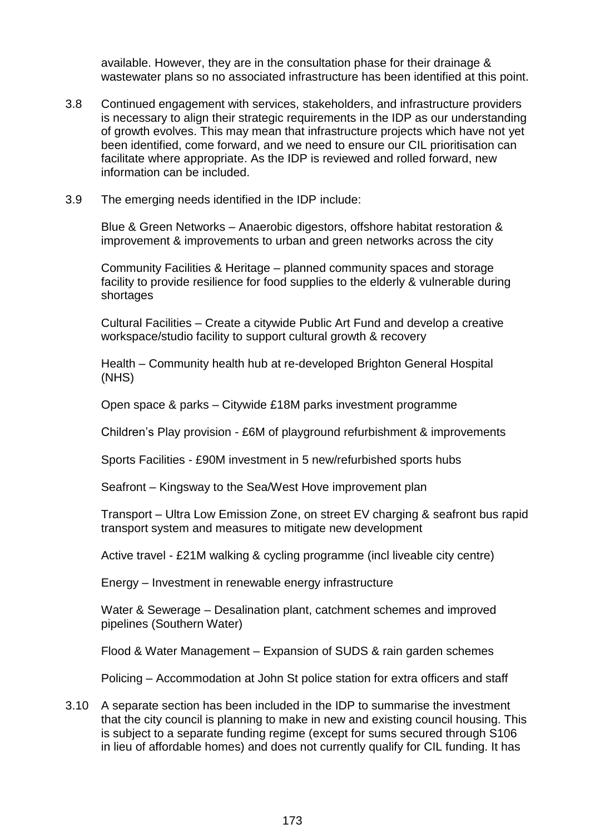available. However, they are in the consultation phase for their drainage & wastewater plans so no associated infrastructure has been identified at this point.

- 3.8 Continued engagement with services, stakeholders, and infrastructure providers is necessary to align their strategic requirements in the IDP as our understanding of growth evolves. This may mean that infrastructure projects which have not yet been identified, come forward, and we need to ensure our CIL prioritisation can facilitate where appropriate. As the IDP is reviewed and rolled forward, new information can be included.
- 3.9 The emerging needs identified in the IDP include:

Blue & Green Networks – Anaerobic digestors, offshore habitat restoration & improvement & improvements to urban and green networks across the city

Community Facilities & Heritage – planned community spaces and storage facility to provide resilience for food supplies to the elderly & vulnerable during shortages

Cultural Facilities – Create a citywide Public Art Fund and develop a creative workspace/studio facility to support cultural growth & recovery

Health – Community health hub at re-developed Brighton General Hospital (NHS)

Open space & parks – Citywide £18M parks investment programme

Children's Play provision - £6M of playground refurbishment & improvements

Sports Facilities - £90M investment in 5 new/refurbished sports hubs

Seafront – Kingsway to the Sea/West Hove improvement plan

Transport – Ultra Low Emission Zone, on street EV charging & seafront bus rapid transport system and measures to mitigate new development

Active travel - £21M walking & cycling programme (incl liveable city centre)

Energy – Investment in renewable energy infrastructure

Water & Sewerage – Desalination plant, catchment schemes and improved pipelines (Southern Water)

Flood & Water Management – Expansion of SUDS & rain garden schemes

Policing – Accommodation at John St police station for extra officers and staff

3.10 A separate section has been included in the IDP to summarise the investment that the city council is planning to make in new and existing council housing. This is subject to a separate funding regime (except for sums secured through S106 in lieu of affordable homes) and does not currently qualify for CIL funding. It has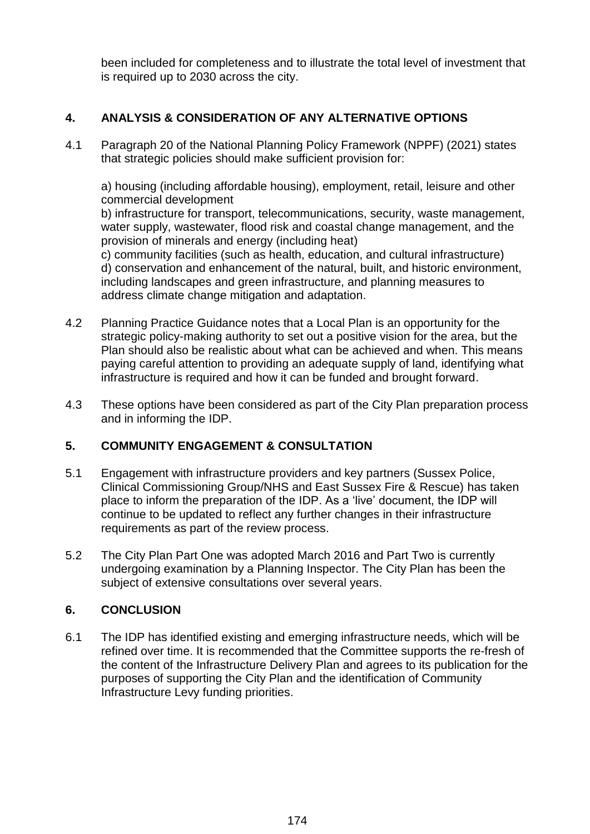been included for completeness and to illustrate the total level of investment that is required up to 2030 across the city.

### **4. ANALYSIS & CONSIDERATION OF ANY ALTERNATIVE OPTIONS**

4.1 Paragraph 20 of the National Planning Policy Framework (NPPF) (2021) states that strategic policies should make sufficient provision for:

a) housing (including affordable housing), employment, retail, leisure and other commercial development

b) infrastructure for transport, telecommunications, security, waste management, water supply, wastewater, flood risk and coastal change management, and the provision of minerals and energy (including heat)

c) community facilities (such as health, education, and cultural infrastructure) d) conservation and enhancement of the natural, built, and historic environment, including landscapes and green infrastructure, and planning measures to address climate change mitigation and adaptation.

- 4.2 Planning Practice Guidance notes that a Local Plan is an opportunity for the strategic policy-making authority to set out a positive vision for the area, but the Plan should also be realistic about what can be achieved and when. This means paying careful attention to providing an adequate supply of land, identifying what infrastructure is required and how it can be funded and brought forward.
- 4.3 These options have been considered as part of the City Plan preparation process and in informing the IDP.

### **5. COMMUNITY ENGAGEMENT & CONSULTATION**

- 5.1 Engagement with infrastructure providers and key partners (Sussex Police, Clinical Commissioning Group/NHS and East Sussex Fire & Rescue) has taken place to inform the preparation of the IDP. As a 'live' document, the IDP will continue to be updated to reflect any further changes in their infrastructure requirements as part of the review process.
- 5.2 The City Plan Part One was adopted March 2016 and Part Two is currently undergoing examination by a Planning Inspector. The City Plan has been the subject of extensive consultations over several years.

### **6. CONCLUSION**

6.1 The IDP has identified existing and emerging infrastructure needs, which will be refined over time. It is recommended that the Committee supports the re-fresh of the content of the Infrastructure Delivery Plan and agrees to its publication for the purposes of supporting the City Plan and the identification of Community Infrastructure Levy funding priorities.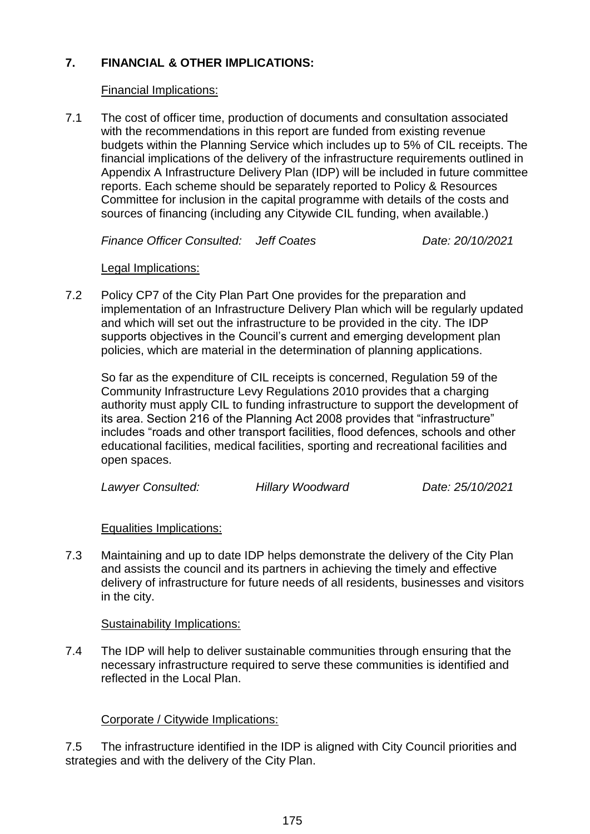### **7. FINANCIAL & OTHER IMPLICATIONS:**

#### Financial Implications:

7.1 The cost of officer time, production of documents and consultation associated with the recommendations in this report are funded from existing revenue budgets within the Planning Service which includes up to 5% of CIL receipts. The financial implications of the delivery of the infrastructure requirements outlined in Appendix A Infrastructure Delivery Plan (IDP) will be included in future committee reports. Each scheme should be separately reported to Policy & Resources Committee for inclusion in the capital programme with details of the costs and sources of financing (including any Citywide CIL funding, when available.)

*Finance Officer Consulted: Jeff Coates Date: 20/10/2021*

#### Legal Implications:

7.2 Policy CP7 of the City Plan Part One provides for the preparation and implementation of an Infrastructure Delivery Plan which will be regularly updated and which will set out the infrastructure to be provided in the city. The IDP supports objectives in the Council's current and emerging development plan policies, which are material in the determination of planning applications.

So far as the expenditure of CIL receipts is concerned, Regulation 59 of the Community Infrastructure Levy Regulations 2010 provides that a charging authority must apply CIL to funding infrastructure to support the development of its area. Section 216 of the Planning Act 2008 provides that "infrastructure" includes "roads and other transport facilities, flood defences, schools and other educational facilities, medical facilities, sporting and recreational facilities and open spaces.

*Lawyer Consulted: Hillary Woodward Date: 25/10/2021*

Equalities Implications:

7.3 Maintaining and up to date IDP helps demonstrate the delivery of the City Plan and assists the council and its partners in achieving the timely and effective delivery of infrastructure for future needs of all residents, businesses and visitors in the city.

### Sustainability Implications:

7.4 The IDP will help to deliver sustainable communities through ensuring that the necessary infrastructure required to serve these communities is identified and reflected in the Local Plan.

### Corporate / Citywide Implications:

7.5 The infrastructure identified in the IDP is aligned with City Council priorities and strategies and with the delivery of the City Plan.